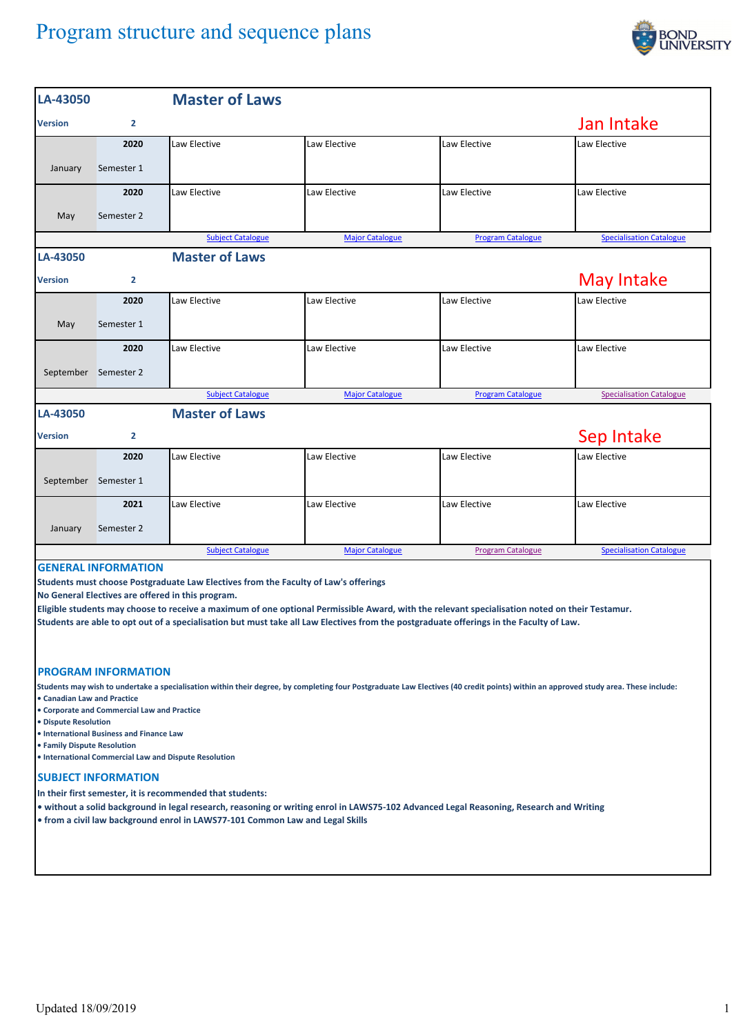## Program structure and sequence plans



| LA-43050                                                                                                                                                                                                                                                                                                                                                                                                                                                            |                       | <b>Master of Laws</b>    |                        |                          |                                 |  |  |  |  |  |
|---------------------------------------------------------------------------------------------------------------------------------------------------------------------------------------------------------------------------------------------------------------------------------------------------------------------------------------------------------------------------------------------------------------------------------------------------------------------|-----------------------|--------------------------|------------------------|--------------------------|---------------------------------|--|--|--|--|--|
| <b>Version</b>                                                                                                                                                                                                                                                                                                                                                                                                                                                      | $\overline{2}$        | Jan Intake               |                        |                          |                                 |  |  |  |  |  |
|                                                                                                                                                                                                                                                                                                                                                                                                                                                                     | 2020                  | Law Elective             | Law Elective           | Law Elective             | Law Elective                    |  |  |  |  |  |
| January                                                                                                                                                                                                                                                                                                                                                                                                                                                             | Semester 1            |                          |                        |                          |                                 |  |  |  |  |  |
|                                                                                                                                                                                                                                                                                                                                                                                                                                                                     | 2020                  | Law Elective             | Law Elective           | Law Elective             | Law Elective                    |  |  |  |  |  |
| May                                                                                                                                                                                                                                                                                                                                                                                                                                                                 | Semester 2            |                          |                        |                          |                                 |  |  |  |  |  |
|                                                                                                                                                                                                                                                                                                                                                                                                                                                                     |                       | <b>Subject Catalogue</b> | <b>Major Catalogue</b> | <b>Program Catalogue</b> | <b>Specialisation Catalogue</b> |  |  |  |  |  |
| LA-43050                                                                                                                                                                                                                                                                                                                                                                                                                                                            |                       | <b>Master of Laws</b>    |                        |                          |                                 |  |  |  |  |  |
| <b>Version</b>                                                                                                                                                                                                                                                                                                                                                                                                                                                      | $\overline{2}$        | May Intake               |                        |                          |                                 |  |  |  |  |  |
|                                                                                                                                                                                                                                                                                                                                                                                                                                                                     | 2020                  | Law Elective             | Law Elective           | Law Elective             | Law Elective                    |  |  |  |  |  |
| May                                                                                                                                                                                                                                                                                                                                                                                                                                                                 | Semester 1            |                          |                        |                          |                                 |  |  |  |  |  |
|                                                                                                                                                                                                                                                                                                                                                                                                                                                                     | 2020                  | Law Elective             | Law Elective           | Law Elective             | Law Elective                    |  |  |  |  |  |
|                                                                                                                                                                                                                                                                                                                                                                                                                                                                     | September Semester 2  |                          |                        |                          |                                 |  |  |  |  |  |
|                                                                                                                                                                                                                                                                                                                                                                                                                                                                     |                       | <b>Subject Catalogue</b> | <b>Major Catalogue</b> | <b>Program Catalogue</b> | <b>Specialisation Catalogue</b> |  |  |  |  |  |
| LA-43050                                                                                                                                                                                                                                                                                                                                                                                                                                                            | <b>Master of Laws</b> |                          |                        |                          |                                 |  |  |  |  |  |
| <b>Version</b>                                                                                                                                                                                                                                                                                                                                                                                                                                                      | $\overline{2}$        | Sep Intake               |                        |                          |                                 |  |  |  |  |  |
|                                                                                                                                                                                                                                                                                                                                                                                                                                                                     | 2020                  | Law Elective             | Law Elective           | Law Elective             | Law Elective                    |  |  |  |  |  |
|                                                                                                                                                                                                                                                                                                                                                                                                                                                                     | September Semester 1  |                          |                        |                          |                                 |  |  |  |  |  |
|                                                                                                                                                                                                                                                                                                                                                                                                                                                                     | 2021                  | Law Elective             | Law Elective           | Law Elective             | Law Elective                    |  |  |  |  |  |
| January                                                                                                                                                                                                                                                                                                                                                                                                                                                             | Semester 2            |                          |                        |                          |                                 |  |  |  |  |  |
|                                                                                                                                                                                                                                                                                                                                                                                                                                                                     |                       | <b>Subject Catalogue</b> | <b>Major Catalogue</b> | <b>Program Catalogue</b> | <b>Specialisation Catalogue</b> |  |  |  |  |  |
| <b>GENERAL INFORMATION</b><br>Students must choose Postgraduate Law Electives from the Faculty of Law's offerings<br>No General Electives are offered in this program.<br>Eligible students may choose to receive a maximum of one optional Permissible Award, with the relevant specialisation noted on their Testamur.<br>Students are able to opt out of a specialisation but must take all Law Electives from the postgraduate offerings in the Faculty of Law. |                       |                          |                        |                          |                                 |  |  |  |  |  |
| <b>PROGRAM INFORMATION</b>                                                                                                                                                                                                                                                                                                                                                                                                                                          |                       |                          |                        |                          |                                 |  |  |  |  |  |
| Students may wish to undertake a specialisation within their degree, by completing four Postgraduate Law Electives (40 credit points) within an approved study area. These include:<br>• Canadian Law and Practice<br>• Corporate and Commercial Law and Practice<br>• Dispute Resolution<br>• International Business and Finance Law<br>• Family Dispute Resolution<br>• International Commercial Law and Dispute Resolution                                       |                       |                          |                        |                          |                                 |  |  |  |  |  |
| <b>SUBJECT INFORMATION</b>                                                                                                                                                                                                                                                                                                                                                                                                                                          |                       |                          |                        |                          |                                 |  |  |  |  |  |
| In their first semester, it is recommended that students:<br>. without a solid background in legal research, reasoning or writing enrol in LAWS75-102 Advanced Legal Reasoning, Research and Writing<br>. from a civil law background enrol in LAWS77-101 Common Law and Legal Skills                                                                                                                                                                               |                       |                          |                        |                          |                                 |  |  |  |  |  |